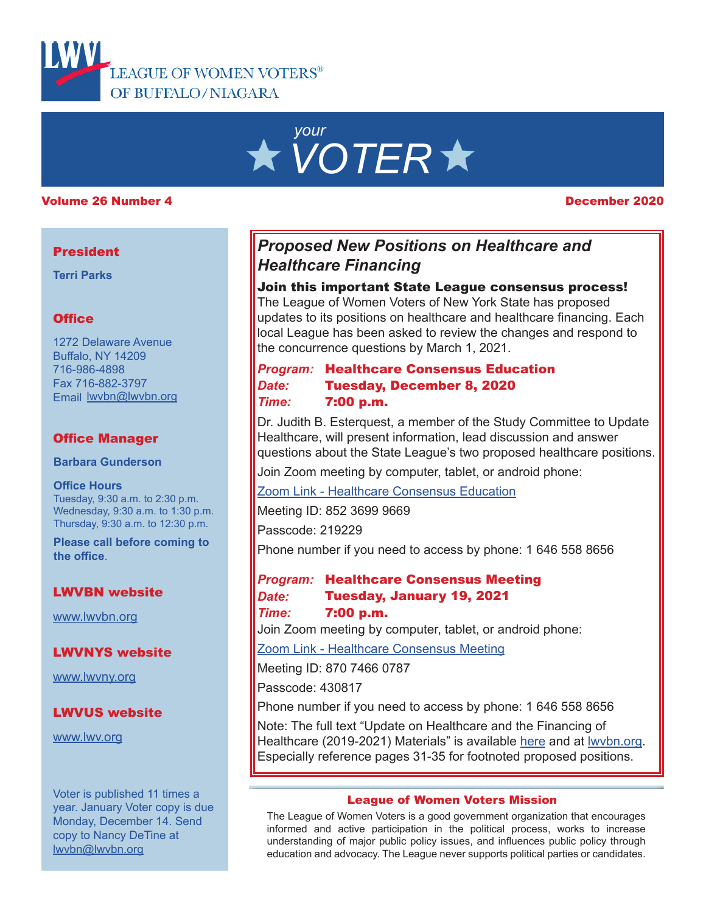

# *your VOTER*

#### Volume 26 Number 4 December 2020

#### **President**

**Terri Parks**

#### **Office**

1272 Delaware Avenue Buffalo, NY 14209 716-986-4898 Fax 716-882-3797 Email lwvbn@lwvbn.org

#### Office Manager

**Barbara Gunderson**

**Office Hours** Tuesday, 9:30 a.m. to 2:30 p.m. Wednesday, 9:30 a.m. to 1:30 p.m. Thursday, 9:30 a.m. to 12:30 p.m.

**Please call before coming to the office**.

#### LWVBN website

[www.lwvbn.org](https://www.lwvbn.org/)

LWVNYS website

[www.lwvny.org](https://www.lwvny.org/)

#### LWVUS website

[www.lwv.org](https://www.lwv.org/)

Voter is published 11 times a year. January Voter copy is due Monday, December 14. Send copy to Nancy DeTine at lwvbn@lwvbn.org

# *Proposed New Positions on Healthcare and Healthcare Financing*

#### Join this important State League consensus process!

The League of Women Voters of New York State has proposed updates to its positions on healthcare and healthcare financing. Each local League has been asked to review the changes and respond to the concurrence questions by March 1, 2021.

*Date:* Tuesday, December 8, 2020 *Program:* Healthcare Consensus Education *Time:* 7:00 p.m.

Dr. Judith B. Esterquest, a member of the Study Committee to Update Healthcare, will present information, lead discussion and answer questions about the State League's two proposed healthcare positions.

Join Zoom meeting by computer, tablet, or android phone:

[Zoom Link - Healthcare Consensus Education](https://us02web.zoom.us/j/85236999669?pwd=RCtPRlV2R1p4Ymg4QndXWEpUdE5oZz09)

Meeting ID: 852 3699 9669

Passcode: 219229

Phone number if you need to access by phone: 1 646 558 8656

#### *Date:* Tuesday, January 19, 2021 *Program:* Healthcare Consensus Meeting *Time:* 7:00 p.m.

Join Zoom meeting by computer, tablet, or android phone:

[Zoom Link - Healthcare Consensus Meeting](https://us02web.zoom.us/j/87074660787?pwd=RVdXY1B4VUYzTHZSSlJ0dVJ2UnlOdz09)

Meeting ID: 870 7466 0787

Passcode: 430817

Phone number if you need to access by phone: 1 646 558 8656

Note: The full text "Update on Healthcare and the Financing of Healthcare (2019-2021) Materials" is available [here](https://www.lwvnyonline.org/LLresources/SBR_StateNews/2020/september/Full-packet-for-HC-Update-Sept-25-2020.pdf) and at [lwvbn.org](http://lwvbn.org/index-new.html). Especially reference pages 31-35 for footnoted proposed positions.

#### League of Women Voters Mission

The League of Women Voters is a good government organization that encourages informed and active participation in the political process, works to increase understanding of major public policy issues, and influences public policy through education and advocacy. The League never supports political parties or candidates.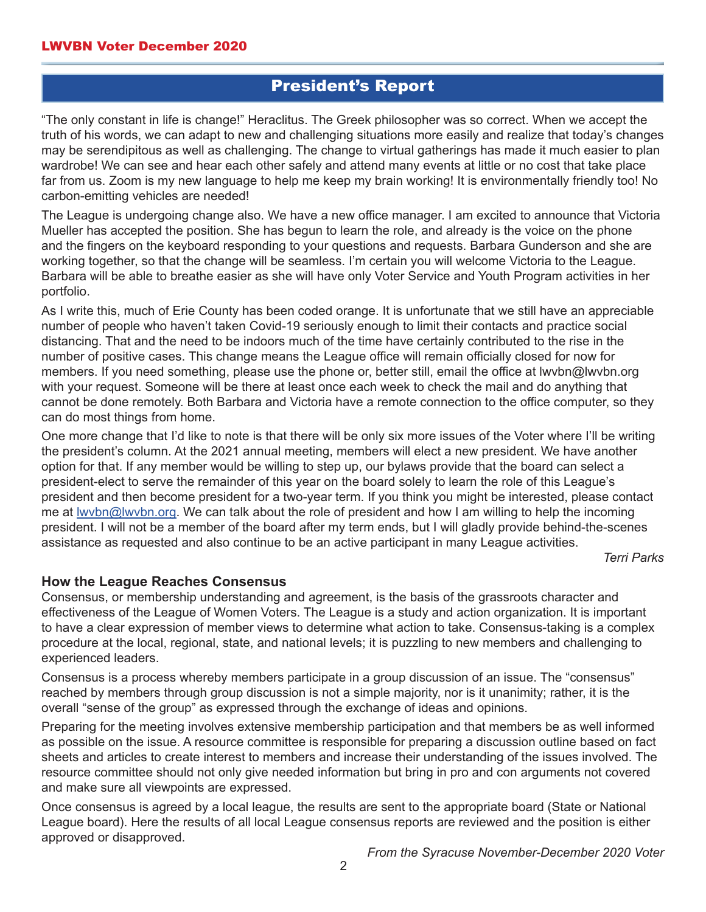# President's Report

"The only constant in life is change!" Heraclitus. The Greek philosopher was so correct. When we accept the truth of his words, we can adapt to new and challenging situations more easily and realize that today's changes may be serendipitous as well as challenging. The change to virtual gatherings has made it much easier to plan wardrobe! We can see and hear each other safely and attend many events at little or no cost that take place far from us. Zoom is my new language to help me keep my brain working! It is environmentally friendly too! No carbon-emitting vehicles are needed!

The League is undergoing change also. We have a new office manager. I am excited to announce that Victoria Mueller has accepted the position. She has begun to learn the role, and already is the voice on the phone and the fingers on the keyboard responding to your questions and requests. Barbara Gunderson and she are working together, so that the change will be seamless. I'm certain you will welcome Victoria to the League. Barbara will be able to breathe easier as she will have only Voter Service and Youth Program activities in her portfolio.

As I write this, much of Erie County has been coded orange. It is unfortunate that we still have an appreciable number of people who haven't taken Covid-19 seriously enough to limit their contacts and practice social distancing. That and the need to be indoors much of the time have certainly contributed to the rise in the number of positive cases. This change means the League office will remain officially closed for now for members. If you need something, please use the phone or, better still, email the office at lwvbn@lwvbn.org with your request. Someone will be there at least once each week to check the mail and do anything that cannot be done remotely. Both Barbara and Victoria have a remote connection to the office computer, so they can do most things from home.

One more change that I'd like to note is that there will be only six more issues of the Voter where I'll be writing the president's column. At the 2021 annual meeting, members will elect a new president. We have another option for that. If any member would be willing to step up, our bylaws provide that the board can select a president-elect to serve the remainder of this year on the board solely to learn the role of this League's president and then become president for a two-year term. If you think you might be interested, please contact me at lwvbn@lwvbn.org. We can talk about the role of president and how I am willing to help the incoming president. I will not be a member of the board after my term ends, but I will gladly provide behind-the-scenes assistance as requested and also continue to be an active participant in many League activities.

*Terri Parks*

#### **How the League Reaches Consensus**

Consensus, or membership understanding and agreement, is the basis of the grassroots character and effectiveness of the League of Women Voters. The League is a study and action organization. It is important to have a clear expression of member views to determine what action to take. Consensus-taking is a complex procedure at the local, regional, state, and national levels; it is puzzling to new members and challenging to experienced leaders.

Consensus is a process whereby members participate in a group discussion of an issue. The "consensus" reached by members through group discussion is not a simple majority, nor is it unanimity; rather, it is the overall "sense of the group" as expressed through the exchange of ideas and opinions.

Preparing for the meeting involves extensive membership participation and that members be as well informed as possible on the issue. A resource committee is responsible for preparing a discussion outline based on fact sheets and articles to create interest to members and increase their understanding of the issues involved. The resource committee should not only give needed information but bring in pro and con arguments not covered and make sure all viewpoints are expressed.

Once consensus is agreed by a local league, the results are sent to the appropriate board (State or National League board). Here the results of all local League consensus reports are reviewed and the position is either approved or disapproved.

*From the Syracuse November-December 2020 Voter*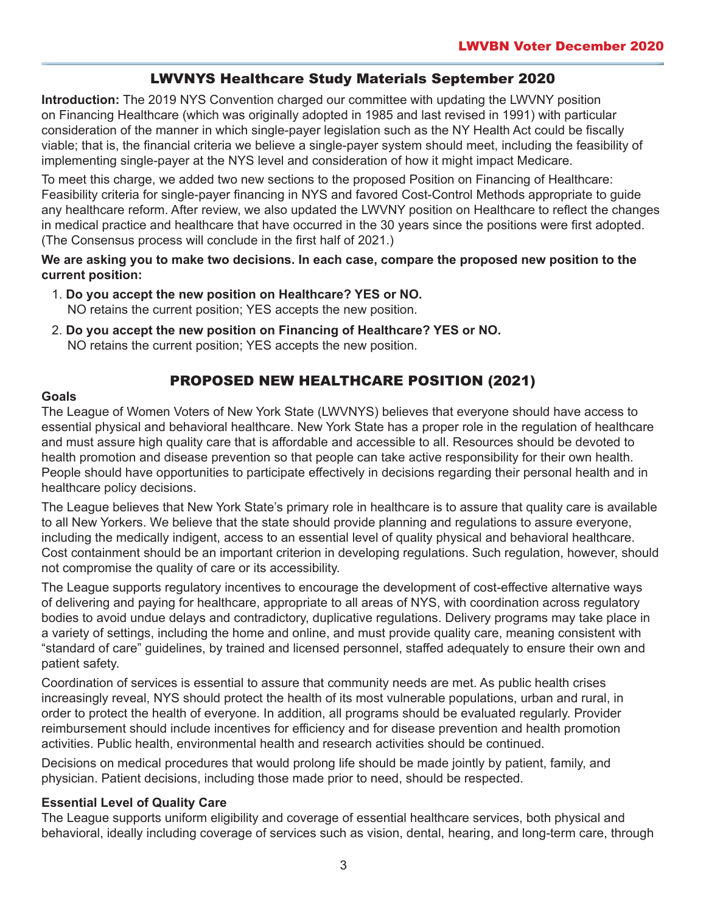# LWVNYS Healthcare Study Materials September 2020

**Introduction:** The 2019 NYS Convention charged our committee with updating the LWVNY position on Financing Healthcare (which was originally adopted in 1985 and last revised in 1991) with particular consideration of the manner in which single-payer legislation such as the NY Health Act could be fiscally viable; that is, the financial criteria we believe a single-payer system should meet, including the feasibility of implementing single-payer at the NYS level and consideration of how it might impact Medicare.

To meet this charge, we added two new sections to the proposed Position on Financing of Healthcare: Feasibility criteria for single-payer financing in NYS and favored Cost-Control Methods appropriate to guide any healthcare reform. After review, we also updated the LWVNY position on Healthcare to reflect the changes in medical practice and healthcare that have occurred in the 30 years since the positions were first adopted. (The Consensus process will conclude in the first half of 2021.)

**We are asking you to make two decisions. In each case, compare the proposed new position to the current position:** 

- 1. **Do you accept the new position on Healthcare? YES or NO.** NO retains the current position; YES accepts the new position.
- 2. **Do you accept the new position on Financing of Healthcare? YES or NO.** NO retains the current position; YES accepts the new position.

# PROPOSED NEW HEALTHCARE POSITION (2021)

#### **Goals**

The League of Women Voters of New York State (LWVNYS) believes that everyone should have access to essential physical and behavioral healthcare. New York State has a proper role in the regulation of healthcare and must assure high quality care that is affordable and accessible to all. Resources should be devoted to health promotion and disease prevention so that people can take active responsibility for their own health. People should have opportunities to participate effectively in decisions regarding their personal health and in healthcare policy decisions.

The League believes that New York State's primary role in healthcare is to assure that quality care is available to all New Yorkers. We believe that the state should provide planning and regulations to assure everyone, including the medically indigent, access to an essential level of quality physical and behavioral healthcare. Cost containment should be an important criterion in developing regulations. Such regulation, however, should not compromise the quality of care or its accessibility.

The League supports regulatory incentives to encourage the development of cost-effective alternative ways of delivering and paying for healthcare, appropriate to all areas of NYS, with coordination across regulatory bodies to avoid undue delays and contradictory, duplicative regulations. Delivery programs may take place in a variety of settings, including the home and online, and must provide quality care, meaning consistent with "standard of care" guidelines, by trained and licensed personnel, staffed adequately to ensure their own and patient safety.

Coordination of services is essential to assure that community needs are met. As public health crises increasingly reveal, NYS should protect the health of its most vulnerable populations, urban and rural, in order to protect the health of everyone. In addition, all programs should be evaluated regularly. Provider reimbursement should include incentives for efficiency and for disease prevention and health promotion activities. Public health, environmental health and research activities should be continued.

Decisions on medical procedures that would prolong life should be made jointly by patient, family, and physician. Patient decisions, including those made prior to need, should be respected.

#### **Essential Level of Quality Care**

The League supports uniform eligibility and coverage of essential healthcare services, both physical and behavioral, ideally including coverage of services such as vision, dental, hearing, and long-term care, through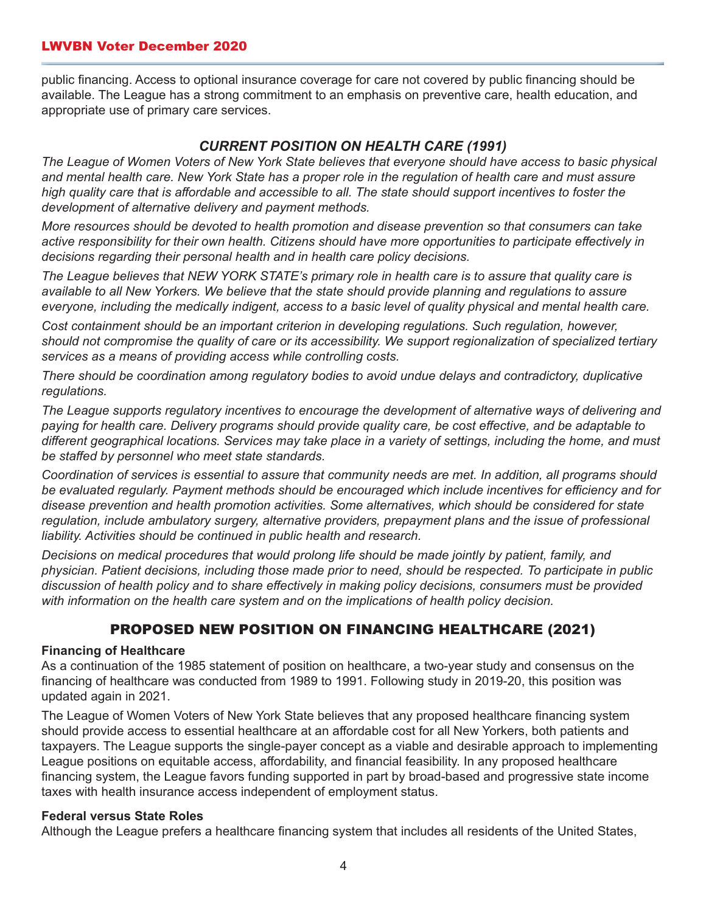#### LWVBN Voter December 2020

public financing. Access to optional insurance coverage for care not covered by public financing should be available. The League has a strong commitment to an emphasis on preventive care, health education, and appropriate use of primary care services.

#### *CURRENT POSITION ON HEALTH CARE (1991)*

*The League of Women Voters of New York State believes that everyone should have access to basic physical and mental health care. New York State has a proper role in the regulation of health care and must assure high quality care that is affordable and accessible to all. The state should support incentives to foster the development of alternative delivery and payment methods.* 

*More resources should be devoted to health promotion and disease prevention so that consumers can take active responsibility for their own health. Citizens should have more opportunities to participate effectively in decisions regarding their personal health and in health care policy decisions.* 

*The League believes that NEW YORK STATE's primary role in health care is to assure that quality care is available to all New Yorkers. We believe that the state should provide planning and regulations to assure everyone, including the medically indigent, access to a basic level of quality physical and mental health care.* 

*Cost containment should be an important criterion in developing regulations. Such regulation, however, should not compromise the quality of care or its accessibility. We support regionalization of specialized tertiary services as a means of providing access while controlling costs.* 

*There should be coordination among regulatory bodies to avoid undue delays and contradictory, duplicative regulations.* 

*The League supports regulatory incentives to encourage the development of alternative ways of delivering and paying for health care. Delivery programs should provide quality care, be cost effective, and be adaptable to different geographical locations. Services may take place in a variety of settings, including the home, and must be staffed by personnel who meet state standards.* 

*Coordination of services is essential to assure that community needs are met. In addition, all programs should be evaluated regularly. Payment methods should be encouraged which include incentives for efficiency and for disease prevention and health promotion activities. Some alternatives, which should be considered for state*  regulation, include ambulatory surgery, alternative providers, prepayment plans and the issue of professional *liability. Activities should be continued in public health and research.* 

*Decisions on medical procedures that would prolong life should be made jointly by patient, family, and physician. Patient decisions, including those made prior to need, should be respected. To participate in public discussion of health policy and to share effectively in making policy decisions, consumers must be provided with information on the health care system and on the implications of health policy decision.*

# PROPOSED NEW POSITION ON FINANCING HEALTHCARE (2021)

#### **Financing of Healthcare**

As a continuation of the 1985 statement of position on healthcare, a two-year study and consensus on the financing of healthcare was conducted from 1989 to 1991. Following study in 2019-20, this position was updated again in 2021.

The League of Women Voters of New York State believes that any proposed healthcare financing system should provide access to essential healthcare at an affordable cost for all New Yorkers, both patients and taxpayers. The League supports the single-payer concept as a viable and desirable approach to implementing League positions on equitable access, affordability, and financial feasibility. In any proposed healthcare financing system, the League favors funding supported in part by broad-based and progressive state income taxes with health insurance access independent of employment status.

#### **Federal versus State Roles**

Although the League prefers a healthcare financing system that includes all residents of the United States,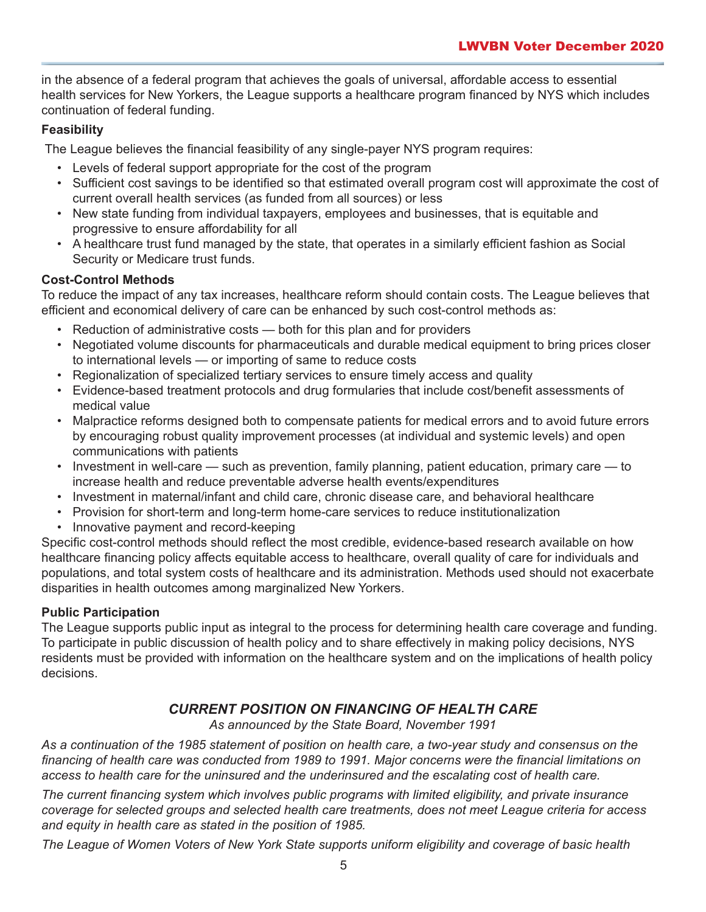in the absence of a federal program that achieves the goals of universal, affordable access to essential health services for New Yorkers, the League supports a healthcare program financed by NYS which includes continuation of federal funding.

#### **Feasibility**

The League believes the financial feasibility of any single-payer NYS program requires:

- Levels of federal support appropriate for the cost of the program
- Sufficient cost savings to be identified so that estimated overall program cost will approximate the cost of current overall health services (as funded from all sources) or less
- New state funding from individual taxpayers, employees and businesses, that is equitable and progressive to ensure affordability for all
- A healthcare trust fund managed by the state, that operates in a similarly efficient fashion as Social Security or Medicare trust funds.

#### **Cost-Control Methods**

To reduce the impact of any tax increases, healthcare reform should contain costs. The League believes that efficient and economical delivery of care can be enhanced by such cost-control methods as:

- Reduction of administrative costs both for this plan and for providers
- Negotiated volume discounts for pharmaceuticals and durable medical equipment to bring prices closer to international levels — or importing of same to reduce costs
- Regionalization of specialized tertiary services to ensure timely access and quality
- Evidence-based treatment protocols and drug formularies that include cost/benefit assessments of medical value
- Malpractice reforms designed both to compensate patients for medical errors and to avoid future errors by encouraging robust quality improvement processes (at individual and systemic levels) and open communications with patients
- Investment in well-care such as prevention, family planning, patient education, primary care to increase health and reduce preventable adverse health events/expenditures
- Investment in maternal/infant and child care, chronic disease care, and behavioral healthcare
- Provision for short-term and long-term home-care services to reduce institutionalization
- Innovative payment and record-keeping

Specific cost-control methods should reflect the most credible, evidence-based research available on how healthcare financing policy affects equitable access to healthcare, overall quality of care for individuals and populations, and total system costs of healthcare and its administration. Methods used should not exacerbate disparities in health outcomes among marginalized New Yorkers.

#### **Public Participation**

The League supports public input as integral to the process for determining health care coverage and funding. To participate in public discussion of health policy and to share effectively in making policy decisions, NYS residents must be provided with information on the healthcare system and on the implications of health policy decisions.

# *CURRENT POSITION ON FINANCING OF HEALTH CARE*

*As announced by the State Board, November 1991*

*As a continuation of the 1985 statement of position on health care, a two-year study and consensus on the financing of health care was conducted from 1989 to 1991. Major concerns were the financial limitations on access to health care for the uninsured and the underinsured and the escalating cost of health care.* 

*The current financing system which involves public programs with limited eligibility, and private insurance coverage for selected groups and selected health care treatments, does not meet League criteria for access and equity in health care as stated in the position of 1985.* 

*The League of Women Voters of New York State supports uniform eligibility and coverage of basic health*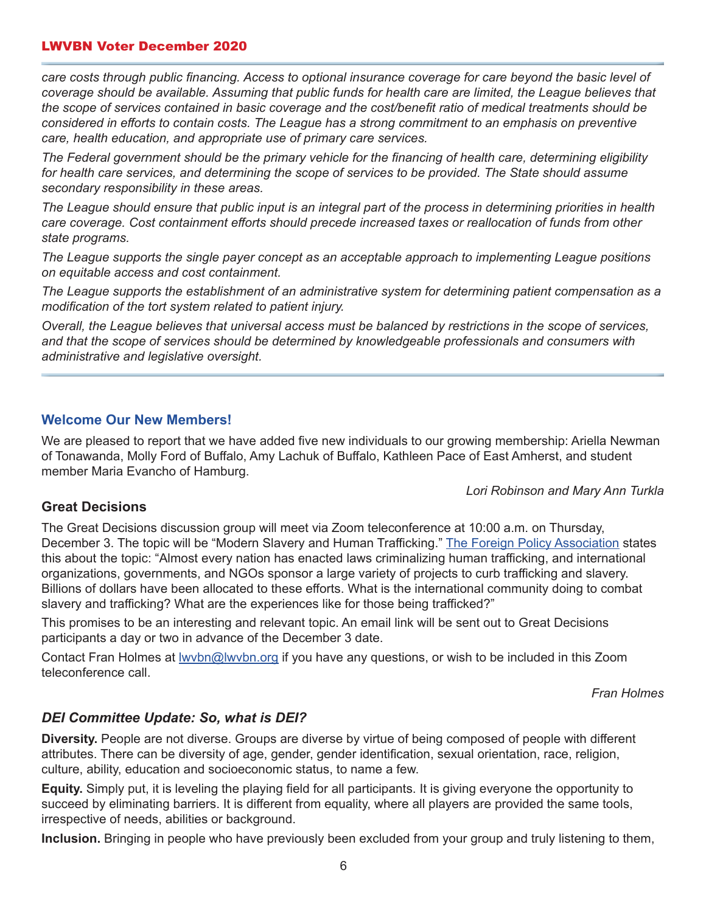#### LWVBN Voter December 2020

*care costs through public financing. Access to optional insurance coverage for care beyond the basic level of coverage should be available. Assuming that public funds for health care are limited, the League believes that the scope of services contained in basic coverage and the cost/benefit ratio of medical treatments should be considered in efforts to contain costs. The League has a strong commitment to an emphasis on preventive care, health education, and appropriate use of primary care services.* 

*The Federal government should be the primary vehicle for the financing of health care, determining eligibility for health care services, and determining the scope of services to be provided. The State should assume secondary responsibility in these areas.* 

*The League should ensure that public input is an integral part of the process in determining priorities in health care coverage. Cost containment efforts should precede increased taxes or reallocation of funds from other state programs.* 

*The League supports the single payer concept as an acceptable approach to implementing League positions on equitable access and cost containment.* 

*The League supports the establishment of an administrative system for determining patient compensation as a modification of the tort system related to patient injury.* 

*Overall, the League believes that universal access must be balanced by restrictions in the scope of services, and that the scope of services should be determined by knowledgeable professionals and consumers with administrative and legislative oversight.*

#### **Welcome Our New Members!**

We are pleased to report that we have added five new individuals to our growing membership: Ariella Newman of Tonawanda, Molly Ford of Buffalo, Amy Lachuk of Buffalo, Kathleen Pace of East Amherst, and student member Maria Evancho of Hamburg.

*Lori Robinson and Mary Ann Turkla* 

#### **Great Decisions**

The Great Decisions discussion group will meet via Zoom teleconference at 10:00 a.m. on Thursday, December 3. The topic will be "Modern Slavery and Human Trafficking." [The Foreign Policy Association](https://www.fpa.org) states this about the topic: "Almost every nation has enacted laws criminalizing human trafficking, and international organizations, governments, and NGOs sponsor a large variety of projects to curb trafficking and slavery. Billions of dollars have been allocated to these efforts. What is the international community doing to combat slavery and trafficking? What are the experiences like for those being trafficked?"

This promises to be an interesting and relevant topic. An email link will be sent out to Great Decisions participants a day or two in advance of the December 3 date.

Contact Fran Holmes at **Iwvbn@lwvbn.org** if you have any questions, or wish to be included in this Zoom teleconference call.

*Fran Holmes*

#### *DEI Committee Update: So, what is DEI?*

**Diversity.** People are not diverse. Groups are diverse by virtue of being composed of people with different attributes. There can be diversity of age, gender, gender identification, sexual orientation, race, religion, culture, ability, education and socioeconomic status, to name a few.

**Equity.** Simply put, it is leveling the playing field for all participants. It is giving everyone the opportunity to succeed by eliminating barriers. It is different from equality, where all players are provided the same tools, irrespective of needs, abilities or background.

**Inclusion.** Bringing in people who have previously been excluded from your group and truly listening to them,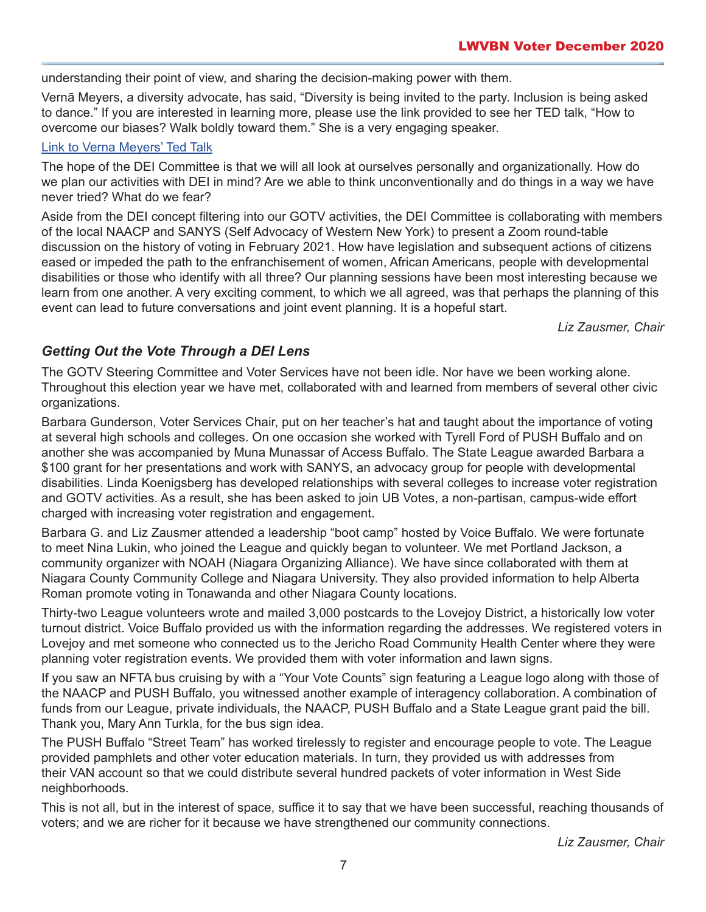understanding their point of view, and sharing the decision-making power with them.

Vernā Meyers, a diversity advocate, has said, "Diversity is being invited to the party. Inclusion is being asked to dance." If you are interested in learning more, please use the link provided to see her TED talk, "How to overcome our biases? Walk boldly toward them." She is a very engaging speaker.

#### [Link to Verna Meyers' Ted Talk](https://www.ted.com/talks/verna_myers_how_to_overcome_our_biases_walk_boldly_toward_them)

The hope of the DEI Committee is that we will all look at ourselves personally and organizationally. How do we plan our activities with DEI in mind? Are we able to think unconventionally and do things in a way we have never tried? What do we fear?

Aside from the DEI concept filtering into our GOTV activities, the DEI Committee is collaborating with members of the local NAACP and SANYS (Self Advocacy of Western New York) to present a Zoom round-table discussion on the history of voting in February 2021. How have legislation and subsequent actions of citizens eased or impeded the path to the enfranchisement of women, African Americans, people with developmental disabilities or those who identify with all three? Our planning sessions have been most interesting because we learn from one another. A very exciting comment, to which we all agreed, was that perhaps the planning of this event can lead to future conversations and joint event planning. It is a hopeful start.

*Liz Zausmer, Chair*

### *Getting Out the Vote Through a DEI Lens*

The GOTV Steering Committee and Voter Services have not been idle. Nor have we been working alone. Throughout this election year we have met, collaborated with and learned from members of several other civic organizations.

Barbara Gunderson, Voter Services Chair, put on her teacher's hat and taught about the importance of voting at several high schools and colleges. On one occasion she worked with Tyrell Ford of PUSH Buffalo and on another she was accompanied by Muna Munassar of Access Buffalo. The State League awarded Barbara a \$100 grant for her presentations and work with SANYS, an advocacy group for people with developmental disabilities. Linda Koenigsberg has developed relationships with several colleges to increase voter registration and GOTV activities. As a result, she has been asked to join UB Votes, a non-partisan, campus-wide effort charged with increasing voter registration and engagement.

Barbara G. and Liz Zausmer attended a leadership "boot camp" hosted by Voice Buffalo. We were fortunate to meet Nina Lukin, who joined the League and quickly began to volunteer. We met Portland Jackson, a community organizer with NOAH (Niagara Organizing Alliance). We have since collaborated with them at Niagara County Community College and Niagara University. They also provided information to help Alberta Roman promote voting in Tonawanda and other Niagara County locations.

Thirty-two League volunteers wrote and mailed 3,000 postcards to the Lovejoy District, a historically low voter turnout district. Voice Buffalo provided us with the information regarding the addresses. We registered voters in Lovejoy and met someone who connected us to the Jericho Road Community Health Center where they were planning voter registration events. We provided them with voter information and lawn signs.

If you saw an NFTA bus cruising by with a "Your Vote Counts" sign featuring a League logo along with those of the NAACP and PUSH Buffalo, you witnessed another example of interagency collaboration. A combination of funds from our League, private individuals, the NAACP, PUSH Buffalo and a State League grant paid the bill. Thank you, Mary Ann Turkla, for the bus sign idea.

The PUSH Buffalo "Street Team" has worked tirelessly to register and encourage people to vote. The League provided pamphlets and other voter education materials. In turn, they provided us with addresses from their VAN account so that we could distribute several hundred packets of voter information in West Side neighborhoods.

This is not all, but in the interest of space, suffice it to say that we have been successful, reaching thousands of voters; and we are richer for it because we have strengthened our community connections.